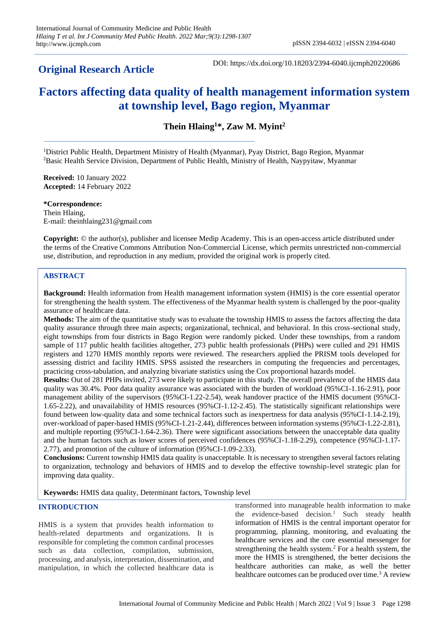# **Original Research Article**

DOI: https://dx.doi.org/10.18203/2394-6040.ijcmph20220686

# **Factors affecting data quality of health management information system at township level, Bago region, Myanmar**

**Thein Hlaing<sup>1</sup>\*, Zaw M. Myint<sup>2</sup>**

<sup>1</sup>District Public Health, Department Ministry of Health (Myanmar), Pyay District, Bago Region, Myanmar <sup>2</sup>Basic Health Service Division, Department of Public Health, Ministry of Health, Naypyitaw, Myanmar

**Received:** 10 January 2022 **Accepted:** 14 February 2022

**\*Correspondence:** Thein Hlaing, E-mail: theinhlaing231@gmail.com

**Copyright:** © the author(s), publisher and licensee Medip Academy. This is an open-access article distributed under the terms of the Creative Commons Attribution Non-Commercial License, which permits unrestricted non-commercial use, distribution, and reproduction in any medium, provided the original work is properly cited.

### **ABSTRACT**

**Background:** Health information from Health management information system (HMIS) is the core essential operator for strengthening the health system. The effectiveness of the Myanmar health system is challenged by the poor-quality assurance of healthcare data.

**Methods:** The aim of the quantitative study was to evaluate the township HMIS to assess the factors affecting the data quality assurance through three main aspects; organizational, technical, and behavioral. In this cross-sectional study, eight townships from four districts in Bago Region were randomly picked. Under these townships, from a random sample of 117 public health facilities altogether, 273 public health professionals (PHPs) were culled and 291 HMIS registers and 1270 HMIS monthly reports were reviewed. The researchers applied the PRISM tools developed for assessing district and facility HMIS. SPSS assisted the researchers in computing the frequencies and percentages, practicing cross-tabulation, and analyzing bivariate statistics using the Cox proportional hazards model.

**Results:** Out of 281 PHPs invited, 273 were likely to participate in this study. The overall prevalence of the HMIS data quality was 30.4%. Poor data quality assurance was associated with the burden of workload (95%CI-1.16-2.91), poor management ability of the supervisors (95%CI-1.22-2.54), weak handover practice of the HMIS document (95%CI-1.65-2.22), and unavailability of HMIS resources (95%CI-1.12-2.45). The statistically significant relationships were found between low-quality data and some technical factors such as inexpertness for data analysis (95%CI-1.14-2.19), over-workload of paper-based HMIS (95%CI-1.21-2.44), differences between information systems (95%CI-1.22-2.81), and multiple reporting (95%CI-1.64-2.36). There were significant associations between the unacceptable data quality and the human factors such as lower scores of perceived confidences (95%CI-1.18-2.29), competence (95%CI-1.17- 2.77), and promotion of the culture of information (95%CI-1.09-2.33).

**Conclusions:** Current township HMIS data quality is unacceptable. It is necessary to strengthen several factors relating to organization, technology and behaviors of HMIS and to develop the effective township-level strategic plan for improving data quality.

**Keywords:** HMIS data quality, Determinant factors, Township level

### **INTRODUCTION**

HMIS is a system that provides health information to health-related departments and organizations. It is responsible for completing the common cardinal processes such as data collection, compilation, submission, processing, and analysis, interpretation, dissemination, and manipulation, in which the collected healthcare data is

transformed into manageable health information to make the evidence-based decision.<sup>1</sup> Such steady health information of HMIS is the central important operator for programming, planning, monitoring, and evaluating the healthcare services and the core essential messenger for strengthening the health system.<sup>2</sup> For a health system, the more the HMIS is strengthened, the better decisions the healthcare authorities can make, as well the better healthcare outcomes can be produced over time.<sup>3</sup> A review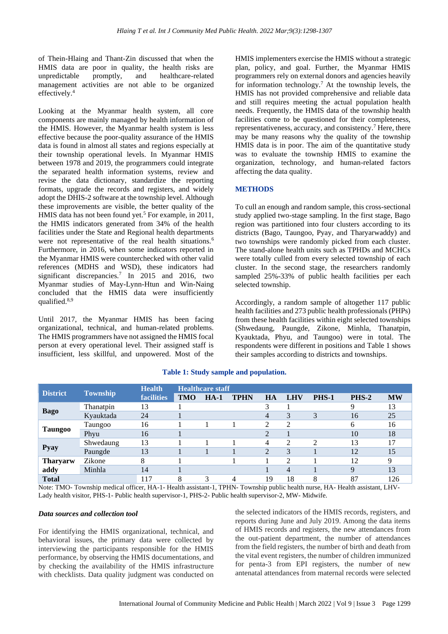of Thein-Hlaing and Thant-Zin discussed that when the HMIS data are poor in quality, the health risks are unpredictable promptly, and healthcare-related management activities are not able to be organized effectively.<sup>4</sup>

Looking at the Myanmar health system, all core components are mainly managed by health information of the HMIS. However, the Myanmar health system is less effective because the poor-quality assurance of the HMIS data is found in almost all states and regions especially at their township operational levels. In Myanmar HMIS between 1978 and 2019, the programmers could integrate the separated health information systems, review and revise the data dictionary, standardize the reporting formats, upgrade the records and registers, and widely adopt the DHIS-2 software at the township level. Although these improvements are visible, the better quality of the HMIS data has not been found yet.<sup>5</sup> For example, in 2011, the HMIS indicators generated from 34% of the health facilities under the State and Regional health departments were not representative of the real health situations.<sup>6</sup> Furthermore, in 2016, when some indicators reported in the Myanmar HMIS were counterchecked with other valid references (MDHS and WSD), these indicators had significant discrepancies.<sup>7</sup> In 2015 and 2016, two Myanmar studies of May-Lynn-Htun and Win-Naing concluded that the HMIS data were insufficiently qualified.8,9

Until 2017, the Myanmar HMIS has been facing organizational, technical, and human-related problems. The HMIS programmers have not assigned the HMIS focal person at every operational level. Their assigned staff is insufficient, less skillful, and unpowered. Most of the HMIS implementers exercise the HMIS without a strategic plan, policy, and goal. Further, the Myanmar HMIS programmers rely on external donors and agencies heavily for information technology.<sup>7</sup> At the township levels, the HMIS has not provided comprehensive and reliable data and still requires meeting the actual population health needs. Frequently, the HMIS data of the township health facilities come to be questioned for their completeness, representativeness, accuracy, and consistency.<sup>7</sup> Here, there may be many reasons why the quality of the township HMIS data is in poor. The aim of the quantitative study was to evaluate the township HMIS to examine the organization, technology, and human-related factors affecting the data quality.

### **METHODS**

To cull an enough and random sample, this cross-sectional study applied two-stage sampling. In the first stage, Bago region was partitioned into four clusters according to its districts (Bago, Taungoo, Pyay, and Tharyarwaddy) and two townships were randomly picked from each cluster. The stand-alone health units such as TPHDs and MCHCs were totally culled from every selected township of each cluster. In the second stage, the researchers randomly sampled 25%-33% of public health facilities per each selected township.

Accordingly, a random sample of altogether 117 public health facilities and 273 public health professionals (PHPs) from these health facilities within eight selected townships (Shwedaung, Paungde, Zikone, Minhla, Thanatpin, Kyauktada, Phyu, and Taungoo) were in total. The respondents were different in positions and Table 1 shows their samples according to districts and townships.

| <b>District</b>         | <b>Township</b> | <b>Health</b>     | <b>Healthcare staff</b> |        |             |    |            |                |             |           |
|-------------------------|-----------------|-------------------|-------------------------|--------|-------------|----|------------|----------------|-------------|-----------|
|                         |                 | <b>facilities</b> | <b>TMO</b>              | $HA-1$ | <b>TPHN</b> | HA | <b>LHV</b> | <b>PHS-1</b>   | PHS-2       | <b>MW</b> |
| <b>Bago</b>             | Thanatpin       | 13                |                         |        |             | 3  |            |                | Q           | 13        |
|                         | Kyauktada       | 24                |                         |        |             | 4  | 3          | 3              | 16          | 25        |
| <b>Taungoo</b>          | Taungoo         | 16                |                         |        |             | C  | າ          |                | 6           | 16        |
|                         | Phyu            | 16                |                         |        |             | ↑  |            |                | 10          | 18        |
| <b>Pyay</b>             | Shwedaung       | 13                |                         |        |             | 4  | 2          | $\mathfrak{D}$ | 13          | 17        |
|                         | Paungde         | 13                |                         |        |             | 2  | 3          |                | 12          | 15        |
| <b>Tharyarw</b><br>addy | Zikone          | 8                 |                         |        |             |    | ∍          |                | 12          | 9         |
|                         | Minhla          | 14                |                         |        |             |    | 4          |                | $\mathbf Q$ | 13        |
| <b>Total</b>            |                 | 117               | 8                       | 3      |             | 19 | 18         | 8              | 87          | 126       |

### **Table 1: Study sample and population.**

Note: TMO- Township medical officer, HA-1- Health assistant-1, TPHN- Township public health nurse, HA- Health assistant, LHV-Lady health visitor, PHS-1- Public health supervisor-1, PHS-2- Public health supervisor-2, MW- Midwife.

#### *Data sources and collection tool*

For identifying the HMIS organizational, technical, and behavioral issues, the primary data were collected by interviewing the participants responsible for the HMIS performance, by observing the HMIS documentations, and by checking the availability of the HMIS infrastructure with checklists. Data quality judgment was conducted on

the selected indicators of the HMIS records, registers, and reports during June and July 2019. Among the data items of HMIS records and registers, the new attendances from the out-patient department, the number of attendances from the field registers, the number of birth and death from the vital event registers, the number of children immunized for penta-3 from EPI registers, the number of new antenatal attendances from maternal records were selected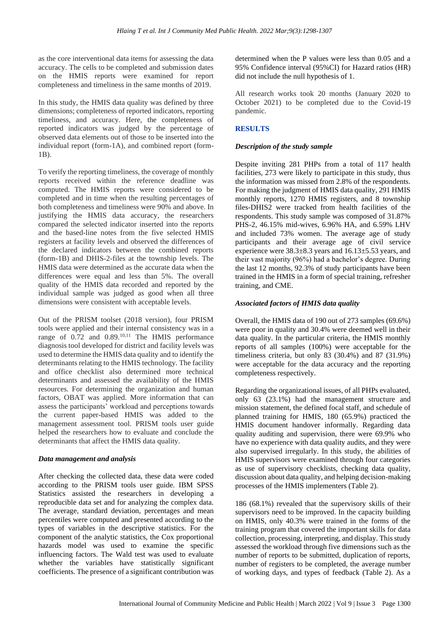as the core interventional data items for assessing the data accuracy. The cells to be completed and submission dates on the HMIS reports were examined for report completeness and timeliness in the same months of 2019.

In this study, the HMIS data quality was defined by three dimensions; completeness of reported indicators, reporting timeliness, and accuracy. Here, the completeness of reported indicators was judged by the percentage of observed data elements out of those to be inserted into the individual report (form-1A), and combined report (form-1B).

To verify the reporting timeliness, the coverage of monthly reports received within the reference deadline was computed. The HMIS reports were considered to be completed and in time when the resulting percentages of both completeness and timeliness were 90% and above. In justifying the HMIS data accuracy, the researchers compared the selected indicator inserted into the reports and the based-line notes from the five selected HMIS registers at facility levels and observed the differences of the declared indicators between the combined reports (form-1B) and DHIS-2-files at the township levels. The HMIS data were determined as the accurate data when the differences were equal and less than 5%. The overall quality of the HMIS data recorded and reported by the individual sample was judged as good when all three dimensions were consistent with acceptable levels.

Out of the PRISM toolset (2018 version), four PRISM tools were applied and their internal consistency was in a range of  $0.72$  and  $0.89$ .<sup>10,11</sup> The HMIS performance diagnosis tool developed for district and facility levels was used to determine the HMIS data quality and to identify the determinants relating to the HMIS technology. The facility and office checklist also determined more technical determinants and assessed the availability of the HMIS resources. For determining the organization and human factors, OBAT was applied. More information that can assess the participants' workload and perceptions towards the current paper-based HMIS was added to the management assessment tool. PRISM tools user guide helped the researchers how to evaluate and conclude the determinants that affect the HMIS data quality.

#### *Data management and analysis*

After checking the collected data, these data were coded according to the PRISM tools user guide. IBM SPSS Statistics assisted the researchers in developing a reproducible data set and for analyzing the complex data. The average, standard deviation, percentages and mean percentiles were computed and presented according to the types of variables in the descriptive statistics. For the component of the analytic statistics, the Cox proportional hazards model was used to examine the specific influencing factors. The Wald test was used to evaluate whether the variables have statistically significant coefficients. The presence of a significant contribution was

determined when the P values were less than 0.05 and a 95% Confidence interval (95%CI) for Hazard ratios (HR) did not include the null hypothesis of 1.

All research works took 20 months (January 2020 to October 2021) to be completed due to the Covid-19 pandemic.

# **RESULTS**

# *Description of the study sample*

Despite inviting 281 PHPs from a total of 117 health facilities, 273 were likely to participate in this study, thus the information was missed from 2.8% of the respondents. For making the judgment of HMIS data quality, 291 HMIS monthly reports, 1270 HMIS registers, and 8 township files-DHIS2 were tracked from health facilities of the respondents. This study sample was composed of 31.87% PHS-2, 46.15% mid-wives, 6.96% HA, and 6.59% LHV and included 73% women. The average age of study participants and their average age of civil service experience were 38.3±8.3 years and 16.13±5.53 years, and their vast majority (96%) had a bachelor's degree. During the last 12 months, 92.3% of study participants have been trained in the HMIS in a form of special training, refresher training, and CME.

### *Associated factors of HMIS data quality*

Overall, the HMIS data of 190 out of 273 samples (69.6%) were poor in quality and 30.4% were deemed well in their data quality. In the particular criteria, the HMIS monthly reports of all samples (100%) were acceptable for the timeliness criteria, but only 83 (30.4%) and 87 (31.9%) were acceptable for the data accuracy and the reporting completeness respectively.

Regarding the organizational issues, of all PHPs evaluated, only 63 (23.1%) had the management structure and mission statement, the defined focal staff, and schedule of planned training for HMIS, 180 (65.9%) practiced the HMIS document handover informally. Regarding data quality auditing and supervision, there were 69.9% who have no experience with data quality audits, and they were also supervised irregularly. In this study, the abilities of HMIS supervisors were examined through four categories as use of supervisory checklists, checking data quality, discussion about data quality, and helping decision-making processes of the HMIS implementers (Table 2).

186 (68.1%) revealed that the supervisory skills of their supervisors need to be improved. In the capacity building on HMIS, only 40.3% were trained in the forms of the training program that covered the important skills for data collection, processing, interpreting, and display. This study assessed the workload through five dimensions such as the number of reports to be submitted, duplication of reports, number of registers to be completed, the average number of working days, and types of feedback (Table 2). As a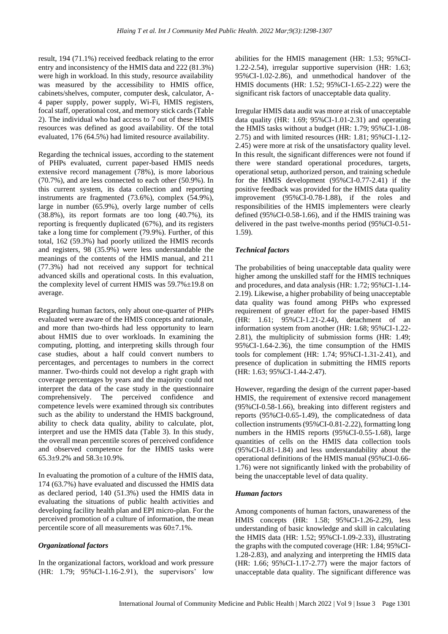result, 194 (71.1%) received feedback relating to the error entry and inconsistency of the HMIS data and 222 (81.3%) were high in workload. In this study, resource availability was measured by the accessibility to HMIS office, cabinets/shelves, computer, computer desk, calculator, A-4 paper supply, power supply, Wi-Fi, HMIS registers, focal staff, operational cost, and memory stick cards (Table 2). The individual who had access to 7 out of these HMIS resources was defined as good availability. Of the total evaluated, 176 (64.5%) had limited resource availability.

Regarding the technical issues, according to the statement of PHPs evaluated, current paper-based HMIS needs extensive record management (78%), is more laborious (70.7%), and are less connected to each other (50.9%). In this current system, its data collection and reporting instruments are fragmented (73.6%), complex (54.9%), large in number (65.9%), overly large number of cells (38.8%), its report formats are too long (40.7%), its reporting is frequently duplicated (67%), and its registers take a long time for complement (79.9%). Further, of this total, 162 (59.3%) had poorly utilized the HMIS records and registers, 98 (35.9%) were less understandable the meanings of the contents of the HMIS manual, and 211 (77.3%) had not received any support for technical advanced skills and operational costs. In this evaluation, the complexity level of current HMIS was 59.7%±19.8 on average.

Regarding human factors, only about one-quarter of PHPs evaluated were aware of the HMIS concepts and rationale, and more than two-thirds had less opportunity to learn about HMIS due to over workloads. In examining the computing, plotting, and interpreting skills through four case studies, about a half could convert numbers to percentages, and percentages to numbers in the correct manner. Two-thirds could not develop a right graph with coverage percentages by years and the majority could not interpret the data of the case study in the questionnaire comprehensively. The perceived confidence and competence levels were examined through six contributes such as the ability to understand the HMIS background, ability to check data quality, ability to calculate, plot, interpret and use the HMIS data (Table 3). In this study, the overall mean percentile scores of perceived confidence and observed competence for the HMIS tasks were  $65.3\pm9.2\%$  and  $58.3\pm10.9\%$ .

In evaluating the promotion of a culture of the HMIS data, 174 (63.7%) have evaluated and discussed the HMIS data as declared period, 140 (51.3%) used the HMIS data in evaluating the situations of public health activities and developing facility health plan and EPI micro-plan. For the perceived promotion of a culture of information, the mean percentile score of all measurements was 60±7.1%.

#### *Organizational factors*

In the organizational factors, workload and work pressure (HR: 1.79; 95%CI-1.16-2.91), the supervisors' low

abilities for the HMIS management (HR: 1.53; 95%CI-1.22-2.54), irregular supportive supervision (HR: 1.63; 95%CI-1.02-2.86), and unmethodical handover of the HMIS documents (HR: 1.52; 95%CI-1.65-2.22) were the significant risk factors of unacceptable data quality.

Irregular HMIS data audit was more at risk of unacceptable data quality (HR: 1.69; 95%CI-1.01-2.31) and operating the HMIS tasks without a budget (HR: 1.79; 95%CI-1.08- 2.75) and with limited resources (HR: 1.81; 95%CI-1.12- 2.45) were more at risk of the unsatisfactory quality level. In this result, the significant differences were not found if there were standard operational procedures, targets, operational setup, authorized person, and training schedule for the HMIS development (95%CI-0.77-2.41) if the positive feedback was provided for the HMIS data quality improvement (95%CI-0.78-1.88), if the roles and responsibilities of the HMIS implementers were clearly defined (95%CI-0.58-1.66), and if the HMIS training was delivered in the past twelve-months period (95%CI-0.51- 1.59).

#### *Technical factors*

The probabilities of being unacceptable data quality were higher among the unskilled staff for the HMIS techniques and procedures, and data analysis (HR: 1.72; 95%CI-1.14- 2.19). Likewise, a higher probability of being unacceptable data quality was found among PHPs who expressed requirement of greater effort for the paper-based HMIS (HR: 1.61; 95%CI-1.21-2.44), detachment of an information system from another (HR: 1.68; 95%CI-1.22- 2.81), the multiplicity of submission forms (HR: 1.49; 95%CI-1.64-2.36), the time consumption of the HMIS tools for complement (HR: 1.74; 95%CI-1.31-2.41), and presence of duplication in submitting the HMIS reports (HR: 1.63; 95%CI-1.44-2.47).

However, regarding the design of the current paper-based HMIS, the requirement of extensive record management (95%CI-0.58-1.66), breaking into different registers and reports (95%CI-0.65-1.49), the complicatedness of data collection instruments (95%CI-0.81-2.22), formatting long numbers in the HMIS reports (95%CI-0.55-1.68), large quantities of cells on the HMIS data collection tools (95%CI-0.81-1.84) and less understandability about the operational definitions of the HMIS manual (95%CI-0.66- 1.76) were not significantly linked with the probability of being the unacceptable level of data quality.

#### *Human factors*

Among components of human factors, unawareness of the HMIS concepts (HR: 1.58; 95%CI-1.26-2.29), less understanding of basic knowledge and skill in calculating the HMIS data (HR: 1.52; 95%CI-1.09-2.33), illustrating the graphs with the computed coverage (HR: 1.84; 95%CI-1.28-2.83), and analyzing and interpreting the HMIS data (HR: 1.66; 95%CI-1.17-2.77) were the major factors of unacceptable data quality. The significant difference was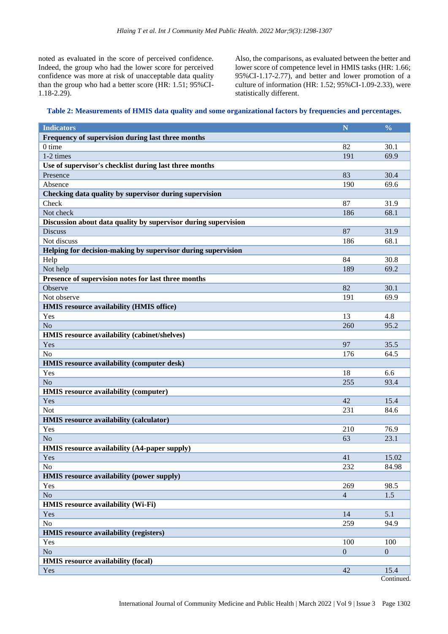noted as evaluated in the score of perceived confidence. Indeed, the group who had the lower score for perceived confidence was more at risk of unacceptable data quality than the group who had a better score (HR: 1.51; 95%CI-1.18-2.29).

Also, the comparisons, as evaluated between the better and lower score of competence level in HMIS tasks (HR: 1.66; 95%CI-1.17-2.77), and better and lower promotion of a culture of information (HR: 1.52; 95%CI-1.09-2.33), were statistically different.

| Table 2: Measurements of HMIS data quality and some organizational factors by frequencies and percentages. |  |  |  |
|------------------------------------------------------------------------------------------------------------|--|--|--|
|                                                                                                            |  |  |  |
|                                                                                                            |  |  |  |

| <b>Indicators</b>                                              | N              | $\frac{0}{0}$  |
|----------------------------------------------------------------|----------------|----------------|
| Frequency of supervision during last three months              |                |                |
| 0 time                                                         | 82             | 30.1           |
| 1-2 times                                                      | 191            | 69.9           |
| Use of supervisor's checklist during last three months         |                |                |
| Presence                                                       | 83             | 30.4           |
| Absence                                                        | 190            | 69.6           |
| Checking data quality by supervisor during supervision         |                |                |
| Check                                                          | 87             | 31.9           |
| Not check                                                      | 186            | 68.1           |
| Discussion about data quality by supervisor during supervision |                |                |
| <b>Discuss</b>                                                 | 87             | 31.9           |
| Not discuss                                                    | 186            | 68.1           |
| Helping for decision-making by supervisor during supervision   |                |                |
| Help                                                           | 84             | 30.8           |
| Not help                                                       | 189            | 69.2           |
| Presence of supervision notes for last three months            |                |                |
| Observe                                                        | 82             | 30.1           |
| Not observe                                                    |                |                |
|                                                                | 191            | 69.9           |
| HMIS resource availability (HMIS office)                       |                |                |
| Yes                                                            | 13             | 4.8            |
| N <sub>o</sub>                                                 | 260            | 95.2           |
| HMIS resource availability (cabinet/shelves)                   |                |                |
| Yes                                                            | 97             | 35.5           |
| N <sub>o</sub>                                                 | 176            | 64.5           |
| HMIS resource availability (computer desk)                     |                |                |
| Yes                                                            | 18             | 6.6            |
| No                                                             | 255            | 93.4           |
| <b>HMIS</b> resource availability (computer)                   |                |                |
| Yes                                                            | 42             | 15.4           |
| <b>Not</b>                                                     | 231            | 84.6           |
| HMIS resource availability (calculator)                        |                |                |
| Yes                                                            | 210            | 76.9           |
| N <sub>o</sub>                                                 | 63             | 23.1           |
| HMIS resource availability (A4-paper supply)                   |                |                |
| Yes                                                            | 41             | 15.02          |
| No                                                             | 232            | 84.98          |
| HMIS resource availability (power supply)                      |                |                |
| Yes                                                            | 269            | 98.5           |
| $\rm No$                                                       | $\overline{4}$ | 1.5            |
| HMIS resource availability (Wi-Fi)                             |                |                |
| Yes                                                            | 14             | 5.1            |
| No                                                             | 259            | 94.9           |
| HMIS resource availability (registers)                         |                |                |
| Yes                                                            | 100            | 100            |
| No                                                             | $\overline{0}$ | $\overline{0}$ |
| HMIS resource availability (focal)                             |                |                |
| Yes                                                            | 42             | 15.4           |
|                                                                |                | Continued.     |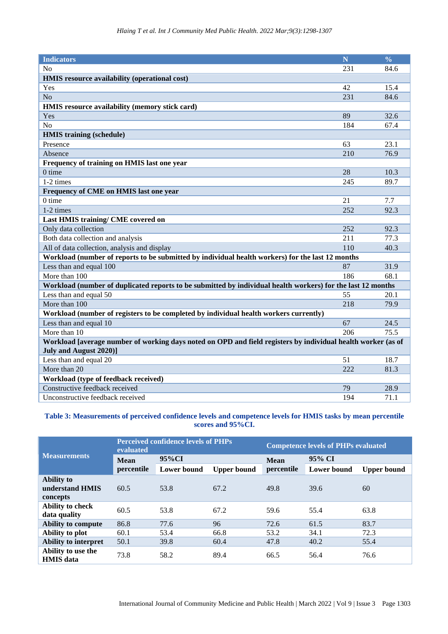| <b>Indicators</b>                                                                                                                            | N   | $\frac{0}{0}$ |  |  |  |  |  |
|----------------------------------------------------------------------------------------------------------------------------------------------|-----|---------------|--|--|--|--|--|
| No                                                                                                                                           | 231 | 84.6          |  |  |  |  |  |
| HMIS resource availability (operational cost)                                                                                                |     |               |  |  |  |  |  |
| Yes                                                                                                                                          | 42  | 15.4          |  |  |  |  |  |
| N <sub>o</sub>                                                                                                                               | 231 | 84.6          |  |  |  |  |  |
| HMIS resource availability (memory stick card)                                                                                               |     |               |  |  |  |  |  |
| Yes                                                                                                                                          | 89  | 32.6          |  |  |  |  |  |
| N <sub>o</sub>                                                                                                                               | 184 | 67.4          |  |  |  |  |  |
| <b>HMIS</b> training (schedule)                                                                                                              |     |               |  |  |  |  |  |
| Presence                                                                                                                                     | 63  | 23.1          |  |  |  |  |  |
| Absence                                                                                                                                      | 210 | 76.9          |  |  |  |  |  |
| Frequency of training on HMIS last one year                                                                                                  |     |               |  |  |  |  |  |
| $0$ time                                                                                                                                     | 28  | 10.3          |  |  |  |  |  |
| 1-2 times                                                                                                                                    | 245 | 89.7          |  |  |  |  |  |
| Frequency of CME on HMIS last one year                                                                                                       |     |               |  |  |  |  |  |
| $0$ time                                                                                                                                     | 21  | 7.7           |  |  |  |  |  |
| 1-2 times                                                                                                                                    | 252 | 92.3          |  |  |  |  |  |
| Last HMIS training/ CME covered on                                                                                                           |     |               |  |  |  |  |  |
| Only data collection                                                                                                                         | 252 | 92.3          |  |  |  |  |  |
| Both data collection and analysis                                                                                                            | 211 | 77.3          |  |  |  |  |  |
| All of data collection, analysis and display                                                                                                 | 110 | 40.3          |  |  |  |  |  |
| Workload (number of reports to be submitted by individual health workers) for the last 12 months                                             |     |               |  |  |  |  |  |
| Less than and equal 100                                                                                                                      | 87  | 31.9          |  |  |  |  |  |
| More than 100                                                                                                                                | 186 | 68.1          |  |  |  |  |  |
| Workload (number of duplicated reports to be submitted by individual health workers) for the last 12 months                                  |     |               |  |  |  |  |  |
| Less than and equal 50                                                                                                                       | 55  | 20.1          |  |  |  |  |  |
| More than 100                                                                                                                                | 218 | 79.9          |  |  |  |  |  |
| Workload (number of registers to be completed by individual health workers currently)                                                        |     |               |  |  |  |  |  |
| Less than and equal 10                                                                                                                       | 67  | 24.5          |  |  |  |  |  |
| More than 10                                                                                                                                 | 206 | 75.5          |  |  |  |  |  |
| Workload [average number of working days noted on OPD and field registers by individual health worker (as of<br><b>July and August 2020)</b> |     |               |  |  |  |  |  |
| Less than and equal 20                                                                                                                       | 51  | 18.7          |  |  |  |  |  |
| More than 20                                                                                                                                 | 222 | 81.3          |  |  |  |  |  |
| Workload (type of feedback received)                                                                                                         |     |               |  |  |  |  |  |
| Constructive feedback received                                                                                                               | 79  | 28.9          |  |  |  |  |  |
| Unconstructive feedback received                                                                                                             | 194 | 71.1          |  |  |  |  |  |

# **Table 3: Measurements of perceived confidence levels and competence levels for HMIS tasks by mean percentile scores and 95%CI.**

|                                                  | evaluated   | <b>Perceived confidence levels of PHPs</b> |                    | <b>Competence levels of PHPs evaluated</b> |                    |                    |  |
|--------------------------------------------------|-------------|--------------------------------------------|--------------------|--------------------------------------------|--------------------|--------------------|--|
| <b>Measurements</b>                              | <b>Mean</b> | 95%CI                                      |                    | <b>Mean</b>                                | 95% CI             |                    |  |
|                                                  | percentile  | <b>Lower bound</b>                         | <b>Upper bound</b> | percentile                                 | <b>Lower bound</b> | <b>Upper bound</b> |  |
| <b>Ability to</b><br>understand HMIS<br>concepts | 60.5        | 53.8                                       | 67.2               | 49.8                                       | 39.6               | 60                 |  |
| Ability to check<br>data quality                 | 60.5        | 53.8                                       | 67.2               | 59.6                                       | 55.4               | 63.8               |  |
| Ability to compute                               | 86.8        | 77.6                                       | 96                 | 72.6                                       | 61.5               | 83.7               |  |
| Ability to plot                                  | 60.1        | 53.4                                       | 66.8               | 53.2                                       | 34.1               | 72.3               |  |
| Ability to interpret                             | 50.1        | 39.8                                       | 60.4               | 47.8                                       | 40.2               | 55.4               |  |
| Ability to use the<br><b>HMIS</b> data           | 73.8        | 58.2                                       | 89.4               | 66.5                                       | 56.4               | 76.6               |  |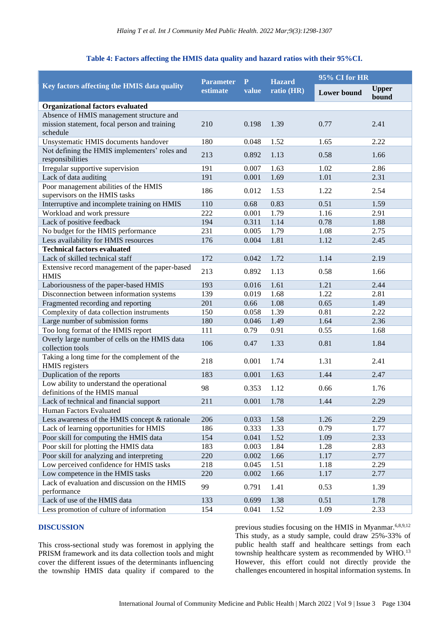### **Table 4: Factors affecting the HMIS data quality and hazard ratios with their 95%CI.**

|                                                                             | <b>Parameter</b> | P     | <b>Hazard</b> | 95% CI for HR      |                       |  |
|-----------------------------------------------------------------------------|------------------|-------|---------------|--------------------|-----------------------|--|
| Key factors affecting the HMIS data quality                                 | estimate         | value | ratio (HR)    | <b>Lower</b> bound | <b>Upper</b><br>bound |  |
| <b>Organizational factors evaluated</b>                                     |                  |       |               |                    |                       |  |
| Absence of HMIS management structure and                                    |                  |       |               |                    |                       |  |
| mission statement, focal person and training                                | 210              | 0.198 | 1.39          | 0.77               | 2.41                  |  |
| schedule                                                                    |                  |       |               |                    |                       |  |
| Unsystematic HMIS documents handover                                        | 180              | 0.048 | 1.52          | 1.65               | 2.22                  |  |
| Not defining the HMIS implementers' roles and<br>responsibilities           | 213              | 0.892 | 1.13          | 0.58               | 1.66                  |  |
| Irregular supportive supervision                                            | 191              | 0.007 | 1.63          | 1.02               | 2.86                  |  |
| Lack of data auditing                                                       | 191              | 0.001 | 1.69          | 1.01               | 2.31                  |  |
| Poor management abilities of the HMIS                                       |                  |       |               |                    |                       |  |
| supervisors on the HMIS tasks                                               | 186              | 0.012 | 1.53          | 1.22               | 2.54                  |  |
| Interruptive and incomplete training on HMIS                                | 110              | 0.68  | 0.83          | 0.51               | 1.59                  |  |
| Workload and work pressure                                                  | 222              | 0.001 | 1.79          | 1.16               | 2.91                  |  |
| Lack of positive feedback                                                   | 194              | 0.311 | 1.14          | 0.78               | 1.88                  |  |
| No budget for the HMIS performance                                          | 231              | 0.005 | 1.79          | 1.08               | 2.75                  |  |
| Less availability for HMIS resources                                        | 176              | 0.004 | 1.81          | 1.12               | 2.45                  |  |
| <b>Technical factors evaluated</b>                                          |                  |       |               |                    |                       |  |
| Lack of skilled technical staff                                             | 172              | 0.042 | 1.72          | 1.14               | 2.19                  |  |
| Extensive record management of the paper-based<br><b>HMIS</b>               | 213              | 0.892 | 1.13          | 0.58               | 1.66                  |  |
| Laboriousness of the paper-based HMIS                                       | 193              | 0.016 | 1.61          | 1.21               | 2.44                  |  |
| Disconnection between information systems                                   | 139              | 0.019 | 1.68          | 1.22               | 2.81                  |  |
| Fragmented recording and reporting                                          | 201              | 0.66  | 1.08          | 0.65               | 1.49                  |  |
| Complexity of data collection instruments                                   | 150              | 0.058 | 1.39          | 0.81               | 2.22                  |  |
| Large number of submission forms                                            | 180              | 0.046 | 1.49          | 1.64               | 2.36                  |  |
| Too long format of the HMIS report                                          | 111              | 0.79  | 0.91          | 0.55               | 1.68                  |  |
| Overly large number of cells on the HMIS data<br>collection tools           | 106              | 0.47  | 1.33          | 0.81               | 1.84                  |  |
| Taking a long time for the complement of the<br>HMIS registers              | 218              | 0.001 | 1.74          | 1.31               | 2.41                  |  |
| Duplication of the reports                                                  | 183              | 0.001 | 1.63          | 1.44               | 2.47                  |  |
| Low ability to understand the operational<br>definitions of the HMIS manual | 98               | 0.353 | 1.12          | 0.66               | 1.76                  |  |
| Lack of technical and financial support                                     | 211              | 0.001 | 1.78          | 1.44               | 2.29                  |  |
| Human Factors Evaluated                                                     |                  |       |               |                    |                       |  |
| Less awareness of the HMIS concept & rationale                              | 206              | 0.033 | 1.58          | 1.26               | 2.29                  |  |
| Lack of learning opportunities for HMIS                                     | 186              | 0.333 | 1.33          | 0.79               | 1.77                  |  |
| Poor skill for computing the HMIS data                                      | 154              | 0.041 | 1.52          | 1.09               | 2.33                  |  |
| Poor skill for plotting the HMIS data                                       | 183              | 0.003 | 1.84          | 1.28               | 2.83                  |  |
| Poor skill for analyzing and interpreting                                   | 220              | 0.002 | 1.66          | 1.17               | 2.77                  |  |
| Low perceived confidence for HMIS tasks                                     | 218              | 0.045 | 1.51          | 1.18               | 2.29                  |  |
| Low competence in the HMIS tasks                                            | 220              | 0.002 | 1.66          | 1.17               | 2.77                  |  |
| Lack of evaluation and discussion on the HMIS                               |                  |       |               |                    |                       |  |
| performance                                                                 | 99               | 0.791 | 1.41          | 0.53               | 1.39                  |  |
| Lack of use of the HMIS data                                                | 133              | 0.699 | 1.38          | 0.51               | 1.78                  |  |
| Less promotion of culture of information                                    | 154              | 0.041 | 1.52          | 1.09               | 2.33                  |  |

#### **DISCUSSION**

This cross-sectional study was foremost in applying the PRISM framework and its data collection tools and might cover the different issues of the determinants influencing the township HMIS data quality if compared to the previous studies focusing on the HMIS in Myanmar.<sup>6,8,9,12</sup> This study, as a study sample, could draw 25%-33% of public health staff and healthcare settings from each township healthcare system as recommended by WHO.<sup>13</sup> However, this effort could not directly provide the challenges encountered in hospital information systems. In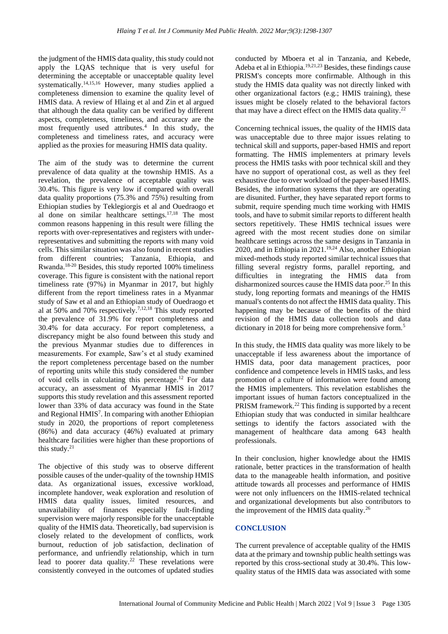the judgment of the HMIS data quality, this study could not apply the LQAS technique that is very useful for determining the acceptable or unacceptable quality level systematically.<sup>14,15,16</sup> However, many studies applied a completeness dimension to examine the quality level of HMIS data. A review of Hlaing et al and Zin et al argued that although the data quality can be verified by different aspects, completeness, timeliness, and accuracy are the most frequently used attributes.<sup>4</sup> In this study, the completeness and timeliness rates, and accuracy were applied as the proxies for measuring HMIS data quality.

The aim of the study was to determine the current prevalence of data quality at the township HMIS. As a revelation, the prevalence of acceptable quality was 30.4%. This figure is very low if compared with overall data quality proportions (75.3% and 75%) resulting from Ethiopian studies by Teklegiorgis et al and Ouedraogo et al done on similar healthcare settings.17,18 The most common reasons happening in this result were filling the reports with over-representatives and registers with underrepresentatives and submitting the reports with many void cells. This similar situation was also found in recent studies from different countries; Tanzania, Ethiopia, and Rwanda.<sup>18-20</sup> Besides, this study reported 100% timeliness coverage. This figure is consistent with the national report timeliness rate (97%) in Myanmar in 2017, but highly different from the report timeliness rates in a Myanmar study of Saw et al and an Ethiopian study of Ouedraogo et al at 50% and 70% respectively.7,12,18 This study reported the prevalence of 31.9% for report completeness and 30.4% for data accuracy. For report completeness, a discrepancy might be also found between this study and the previous Myanmar studies due to differences in measurements. For example, Saw's et al study examined the report completeness percentage based on the number of reporting units while this study considered the number of void cells in calculating this percentage.<sup>12</sup> For data accuracy, an assessment of Myanmar HMIS in 2017 supports this study revelation and this assessment reported lower than 33% of data accuracy was found in the State and Regional HMIS<sup>7</sup>. In comparing with another Ethiopian study in 2020, the proportions of report completeness (86%) and data accuracy (46%) evaluated at primary healthcare facilities were higher than these proportions of this study. $21$ 

The objective of this study was to observe different possible causes of the under-quality of the township HMIS data. As organizational issues, excessive workload, incomplete handover, weak exploration and resolution of HMIS data quality issues, limited resources, and unavailability of finances especially fault-finding supervision were majorly responsible for the unacceptable quality of the HMIS data. Theoretically, bad supervision is closely related to the development of conflicts, work burnout, reduction of job satisfaction, declination of performance, and unfriendly relationship, which in turn lead to poorer data quality.<sup>22</sup> These revelations were consistently conveyed in the outcomes of updated studies

conducted by Mboera et al in Tanzania, and Kebede, Adeba et al in Ethiopia.19,21,23 Besides, these findings cause PRISM's concepts more confirmable. Although in this study the HMIS data quality was not directly linked with other organizational factors (e.g.; HMIS training), these issues might be closely related to the behavioral factors that may have a direct effect on the HMIS data quality. 22

Concerning technical issues, the quality of the HMIS data was unacceptable due to three major issues relating to technical skill and supports, paper-based HMIS and report formatting. The HMIS implementers at primary levels process the HMIS tasks with poor technical skill and they have no support of operational cost, as well as they feel exhaustive due to over workload of the paper-based HMIS. Besides, the information systems that they are operating are disunited. Further, they have separated report forms to submit, require spending much time working with HMIS tools, and have to submit similar reports to different health sectors repetitively. These HMIS technical issues were agreed with the most recent studies done on similar healthcare settings across the same designs in Tanzania in 2020, and in Ethiopia in 2021.19,24 Also, another Ethiopian mixed-methods study reported similar technical issues that filling several registry forms, parallel reporting, and difficulties in integrating the HMIS data from disharmonized sources cause the HMIS data poor.<sup>25</sup> In this study, long reporting formats and meanings of the HMIS manual's contents do not affect the HMIS data quality. This happening may be because of the benefits of the third revision of the HMIS data collection tools and data dictionary in 2018 for being more comprehensive form.<sup>5</sup>

In this study, the HMIS data quality was more likely to be unacceptable if less awareness about the importance of HMIS data, poor data management practices, poor confidence and competence levels in HMIS tasks, and less promotion of a culture of information were found among the HMIS implementers. This revelation establishes the important issues of human factors conceptualized in the PRISM framework.<sup>22</sup> This finding is supported by a recent Ethiopian study that was conducted in similar healthcare settings to identify the factors associated with the management of healthcare data among 643 health professionals.

In their conclusion, higher knowledge about the HMIS rationale, better practices in the transformation of health data to the manageable health information, and positive attitude towards all processes and performance of HMIS were not only influencers on the HMIS-related technical and organizational developments but also contributors to the improvement of the HMIS data quality.<sup>26</sup>

### **CONCLUSION**

The current prevalence of acceptable quality of the HMIS data at the primary and township public health settings was reported by this cross-sectional study at 30.4%. This lowquality status of the HMIS data was associated with some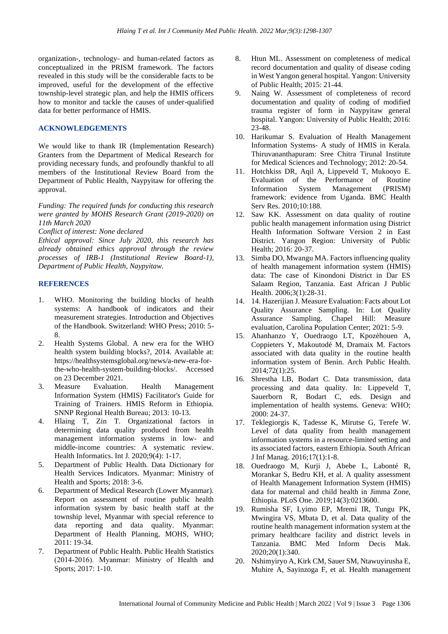organization-, technology- and human-related factors as conceptualized in the PRISM framework. The factors revealed in this study will be the considerable facts to be improved, useful for the development of the effective township-level strategic plan, and help the HMIS officers how to monitor and tackle the causes of under-qualified data for better performance of HMIS.

### **ACKNOWLEDGEMENTS**

We would like to thank IR (Implementation Research) Granters from the Department of Medical Research for providing necessary funds, and profoundly thankful to all members of the Institutional Review Board from the Department of Public Health, Naypyitaw for offering the approval.

*Funding: The required funds for conducting this research were granted by MOHS Research Grant (2019-2020) on 11th March 2020*

*Conflict of interest: None declared*

*Ethical approval: Since July 2020, this research has already obtained ethics approval through the review processes of IRB-1 (Institutional Review Board-1), Department of Public Health, Naypyitaw.*

# **REFERENCES**

- 1. WHO. Monitoring the building blocks of health systems: A handbook of indicators and their measurement strategies. Introduction and Objectives of the Handbook. Switzerland: WHO Press; 2010: 5- 8.
- 2. Health Systems Global. A new era for the WHO health system building blocks?, 2014. Available at: https://healthsystemsglobal.org/news/a-new-era-forthe-who-health-system-building-blocks/. Accessed on 23 December 2021.
- 3. Measure Evaluation. Health Management Information System (HMIS) Facilitator's Guide for Training of Trainers. HMIS Reform in Ethiopia. SNNP Regional Health Bureau; 2013: 10-13.
- 4. Hlaing T, Zin T. Organizational factors in determining data quality produced from health management information systems in low- and middle-income countries: A systematic review. Health Informatics. Int J. 2020;9(4): 1-17.
- 5. Department of Public Health. Data Dictionary for Health Services Indicators. Myanmar: Ministry of Health and Sports; 2018: 3-6.
- 6. Department of Medical Research (Lower Myanmar). Report on assessment of routine public health information system by basic health staff at the township level, Myanmar with special reference to data reporting and data quality. Myanmar: Department of Health Planning, MOHS, WHO; 2011: 19-34.
- 7. Department of Public Health. Public Health Statistics (2014‐2016). Myanmar: Ministry of Health and Sports; 2017: 1-10.
- 8. Htun ML. Assessment on completeness of medical record documentation and quality of disease coding in West Yangon general hospital. Yangon: University of Public Health; 2015: 21-44.
- 9. Naing W. Assessment of completeness of record documentation and quality of coding of modified trauma register of form in Naypyitaw general hospital. Yangon: University of Public Health; 2016: 23-48.
- 10. Harikumar S. Evaluation of Health Management Information Systems- A study of HMIS in Kerala. Thiruvananthapuram: Sree Chitra Tirunal Institute for Medical Sciences and Technology; 2012: 20-54.
- 11. Hotchkiss DR, Aqil A, Lippeveld T, Mukooyo E. Evaluation of the Performance of Routine Information System Management (PRISM) framework: evidence from Uganda. BMC Health Serv Res. 2010;10:188.
- 12. Saw KK. Assessment on data quality of routine public health management information using District Health Information Software Version 2 in East District. Yangon Region: University of Public Health; 2016: 20-37.
- 13. Simba DO, Mwangu MA. Factors influencing quality of health management information system (HMIS) data: The case of Kinondoni District in Dar ES Salaam Region, Tanzania. East African J Public Health. 2006;3(1):28-31.
- 14. 14. Hazerijian J. Measure Evaluation: Facts about Lot Quality Assurance Sampling. In: Lot Quality Assurance Sampling. Chapel Hill: Measure evaluation, Carolina Population Center; 2021: 5-9.
- 15. Ahanhanzo Y, Ouedraogo LT, Kpozèhouen A, Coppieters Y, Makoutodé M, Dramaix M. Factors associated with data quality in the routine health information system of Benin. Arch Public Health. 2014;72(1):25.
- 16. Shrestha LB, Bodart C. Data transmission, data processing and data quality. In: Lippeveld T, Sauerborn R, Bodart C, eds. Design and implementation of health systems. Geneva: WHO; 2000: 24-37.
- 17. Teklegiorgis K, Tadesse K, Mirutse G, Terefe W. Level of data quality from health management information systems in a resource-limited setting and its associated factors, eastern Ethiopia. South African J Inf Manag. 2016;17(1):1-8.
- 18. Ouedraogo M, Kurji J, Abebe L, Labonté R, Morankar S, Bedru KH, et al. A quality assessment of Health Management Information System (HMIS) data for maternal and child health in Jimma Zone, Ethiopia. PLoS One. 2019;14(3):0213600.
- 19. Rumisha SF, Lyimo EP, Mremi IR, Tungu PK, Mwingira VS, Mbata D, et al. Data quality of the routine health management information system at the primary healthcare facility and district levels in Tanzania. BMC Med Inform Decis Mak. 2020;20(1):340.
- 20. Nshimyiryo A, Kirk CM, Sauer SM, Ntawuyirusha E, Muhire A, Sayinzoga F, et al. Health management